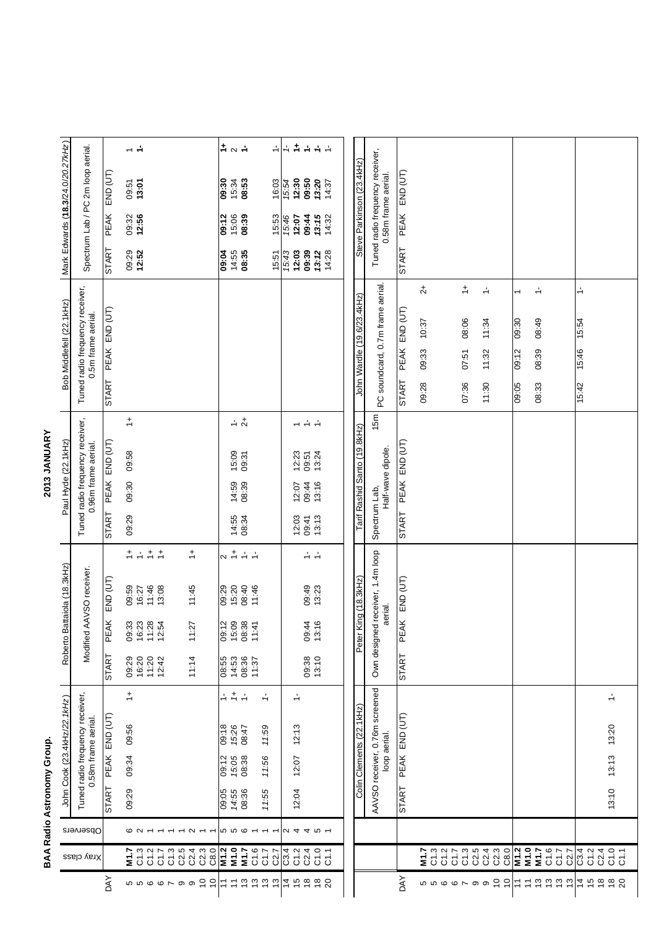| ī           |
|-------------|
|             |
|             |
| ı           |
| ı           |
|             |
| ı<br>í      |
|             |
| ı           |
| ¢<br>ï      |
| ć           |
|             |
| ţ           |
|             |
|             |
| ¢           |
| ı<br>ı      |
|             |
| í           |
| ׇׇ֚֘֕֡<br>¢ |
| í           |
| ſ<br>i      |
|             |

## 2013 JANUARY

| Roberto Battaiola (18.3kHz)<br>Modified A/<br>Tuned radio frequency receiver,<br>John Cook (23.4kHz/22.1kHz)<br>BAA Radio Astronomy Group.<br>Observers |  |                          |                    |                                |                                  |                                  |                                  |                                   |                | Paul Hyde (22.1kHz) | Tuned radio frequency receiver,<br>2013 JANUARY |                | Tuned radio frequency receiver,  | Bob Middlefell (22.1 kHz) |                |                       |                       | Mark Edwards (18.3/24.0/20.27kHz) |                               |
|---------------------------------------------------------------------------------------------------------------------------------------------------------|--|--------------------------|--------------------|--------------------------------|----------------------------------|----------------------------------|----------------------------------|-----------------------------------|----------------|---------------------|-------------------------------------------------|----------------|----------------------------------|---------------------------|----------------|-----------------------|-----------------------|-----------------------------------|-------------------------------|
|                                                                                                                                                         |  |                          | 0.58m frame aerial |                                |                                  |                                  | AVSO receiver.                   |                                   |                | 0.96m frame aerial. |                                                 |                |                                  | 0.5m frame aerial.        |                |                       |                       | Spectrum Lab / PC 2m loop aerial. |                               |
| START                                                                                                                                                   |  |                          | PEAK END (UT)      |                                | <b>START</b>                     | <b>PEAK</b>                      | END (UT)                         |                                   | <b>START</b>   | <b>PEAK</b>         | END (UT)                                        |                | <b>START</b>                     | PEAK END (UT)             |                | <b>START</b>          | <b>PEAK</b>           | END (UT)                          |                               |
| 09:29<br>ဖလ                                                                                                                                             |  | 09:34                    | 09:56              | $\div$                         | 11:20<br>09:29<br>16:20<br>12:42 | 09:33<br>16:23<br>11:28<br>12:54 | 11:46<br>09:59<br>16:27<br>13:08 | $1 + 1 + 1$                       | 09:29          | 09:30               | 09:58                                           | $\div$         |                                  |                           |                | 09:29<br><b>12:52</b> | 09:32<br><b>12:56</b> | 09:51<br><b>13:01</b>             | $\div$ $\div$                 |
| $\sim$<br>$\overline{ }$<br>$\overline{a}$                                                                                                              |  |                          |                    |                                | 11:14                            | 11:27                            | 11:45                            | $\stackrel{+}{\rightharpoondown}$ |                |                     |                                                 |                |                                  |                           |                |                       |                       |                                   |                               |
|                                                                                                                                                         |  |                          | 09:18              |                                |                                  | 09:12                            | 09:29                            | $\sim$ $\frac{+}{-}$              |                |                     |                                                 |                |                                  |                           |                | 09:04                 | 09:12                 | 08:30                             |                               |
| 09:05<br>14:55<br>08:36<br>6 6 6                                                                                                                        |  | 09:12<br>15:05<br>08:38  | 15:26<br>08:47     | $+$ $+$ $+$                    | 08:55<br>04:53<br>08:36<br>11:37 | 15:09<br>08:38                   | 15:20<br>08:40                   | $\div$ $\div$                     | 14:55<br>08:34 | 14:59<br>08:39      | 15:09<br>09:31                                  | $-1$           |                                  |                           |                | 14:55<br><b>08:35</b> | 15:06<br>08:39        | 15:34<br><b>08:53</b>             | $\frac{1}{2}$ a $\frac{1}{2}$ |
| 11:55<br>$\overline{\phantom{0}}$<br>$\overline{ }$<br>$\overline{ }$                                                                                   |  | 11:56                    | 11:59              | $\frac{1}{\sqrt{2}}$           |                                  | 11:41                            | 11:46                            |                                   |                |                     |                                                 |                |                                  |                           |                | 15:51                 | 15:53                 | 16:03                             |                               |
|                                                                                                                                                         |  |                          |                    |                                |                                  |                                  |                                  |                                   |                |                     |                                                 |                |                                  |                           |                | 15:43                 | 15:46                 | 15:54                             | $\div$                        |
| 12:04<br>$\begin{array}{cccccccccccccc} \mathcal{U} & \mathcal{A} & \mathcal{A} & \mathcal{U} & \mathcal{L} \end{array}$                                |  | 12:07                    | 12:13              | ÷                              |                                  | 09:44                            |                                  |                                   | <b>2:03</b>    | 09:44<br>12:07      | $12.23$<br>09.51<br>13:24                       | $\div\div\div$ |                                  |                           |                | 09:39<br>12:03        | 09:44<br>12:07        | 09:50<br>12:30                    | トキキキキ                         |
|                                                                                                                                                         |  |                          |                    |                                | 09:38<br>13:10                   | 13:16                            | 09:49<br>13:23                   | $\frac{1}{2}$ $\frac{1}{2}$       | 09:41<br>13:13 | 13:16               |                                                 |                |                                  |                           |                | 14:28<br>13:12        | 13:15<br>14:32        | 13.20<br>14:37                    |                               |
|                                                                                                                                                         |  |                          |                    |                                |                                  |                                  |                                  |                                   |                |                     |                                                 |                |                                  |                           |                |                       |                       |                                   |                               |
|                                                                                                                                                         |  | Colin Clements (22.1kHz) |                    |                                |                                  | Peter King (18.3kHz)             |                                  |                                   |                |                     | Tarif Rashid Santo (19.8kHz)                    |                | John Wardle (19.6/23.4kHz)       |                           |                |                       |                       | Steve Parkinson (23.4kHz)         |                               |
|                                                                                                                                                         |  |                          | loop aerial.       | AAVSO receiver, 0.76m screened |                                  | aerial.<br>Own designed          | eceiver, 1.4m loop               |                                   | Spectrum Lab,  | Half-wave dipole.   |                                                 | 15m            | PC soundcard, 0.7m frame aerial. |                           |                |                       | 0.58m frame aerial.   | Tuned radio frequency receiver,   |                               |
| <b>START</b>                                                                                                                                            |  |                          | PEAK END (UT)      |                                | <b>START</b>                     | <b>PEAK</b>                      | END (UT)                         |                                   | <b>START</b>   | <b>PEAK</b>         | END (UT)                                        |                | <b>PEAK</b><br><b>START</b>      | $END$ $(UT)$              |                | <b>START</b>          | <b>PEAK</b>           | EMD (UT)                          |                               |
|                                                                                                                                                         |  |                          |                    |                                |                                  |                                  |                                  |                                   |                |                     |                                                 |                | 09:33<br>09:28                   | 10:37                     | 4              |                       |                       |                                   |                               |
|                                                                                                                                                         |  |                          |                    |                                |                                  |                                  |                                  |                                   |                |                     |                                                 |                |                                  |                           |                |                       |                       |                                   |                               |
|                                                                                                                                                         |  |                          |                    |                                |                                  |                                  |                                  |                                   |                |                     |                                                 |                | 07:51<br>07:36                   | 08:06                     | $\div$         |                       |                       |                                   |                               |
|                                                                                                                                                         |  |                          |                    |                                |                                  |                                  |                                  |                                   |                |                     |                                                 |                |                                  |                           |                |                       |                       |                                   |                               |
|                                                                                                                                                         |  |                          |                    |                                |                                  |                                  |                                  |                                   |                |                     |                                                 |                | 11:32<br>11:30                   | 11:34                     | ÷              |                       |                       |                                   |                               |
|                                                                                                                                                         |  |                          |                    |                                |                                  |                                  |                                  |                                   |                |                     |                                                 |                | 09:12<br>09:05                   | 09:30                     | $\overline{ }$ |                       |                       |                                   |                               |
|                                                                                                                                                         |  |                          |                    |                                |                                  |                                  |                                  |                                   |                |                     |                                                 |                | 08:39<br>08:33                   | 08:49                     | ÷              |                       |                       |                                   |                               |
|                                                                                                                                                         |  |                          |                    |                                |                                  |                                  |                                  |                                   |                |                     |                                                 |                |                                  |                           |                |                       |                       |                                   |                               |
|                                                                                                                                                         |  |                          |                    |                                |                                  |                                  |                                  |                                   |                |                     |                                                 |                |                                  |                           |                |                       |                       |                                   |                               |
|                                                                                                                                                         |  |                          |                    |                                |                                  |                                  |                                  |                                   |                |                     |                                                 |                | 15:46<br>15:42                   | 15:54                     | $\div$         |                       |                       |                                   |                               |
| 13:10                                                                                                                                                   |  | 13:13                    | 13:20              | ÷                              |                                  |                                  |                                  |                                   |                |                     |                                                 |                |                                  |                           |                |                       |                       |                                   |                               |
|                                                                                                                                                         |  |                          |                    |                                |                                  |                                  |                                  |                                   |                |                     |                                                 |                |                                  |                           |                |                       |                       |                                   |                               |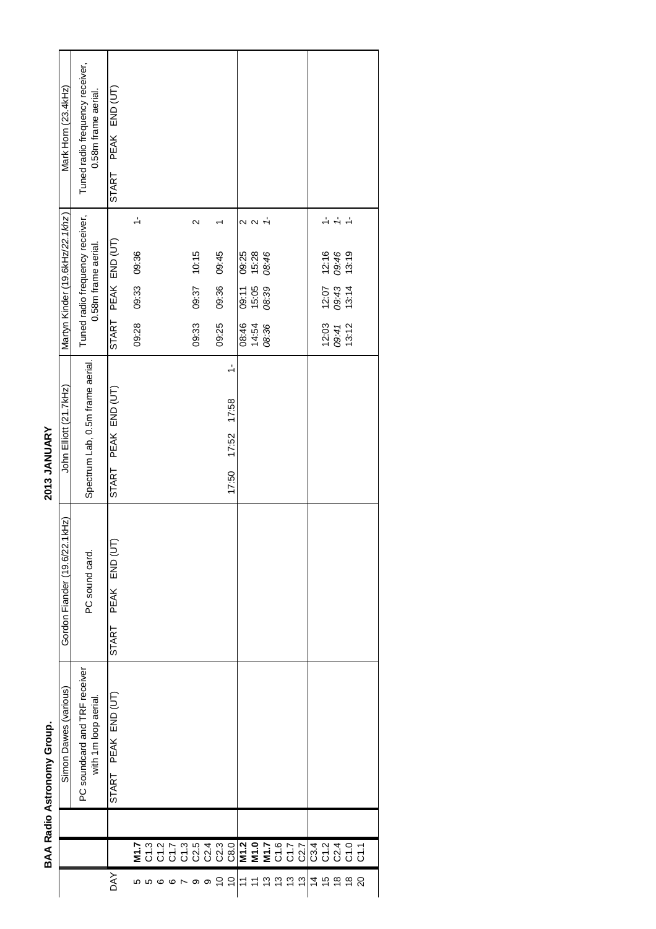| i |
|---|
|   |
|   |
|   |
|   |
| l |
| ٠ |
|   |
|   |
|   |
|   |
|   |
|   |
|   |
| í |
|   |
|   |
|   |
|   |
|   |

2013 JANUARY

|                            | Mark Horn (23.4kHz)             | Tuned radio frequency receiver,<br>0.58m frame aerial. | PEAK END (UT)<br>START |               |                                                                                                                                    |  |                   |       |                                          |                |               |                      |        |  |                         |               |  |
|----------------------------|---------------------------------|--------------------------------------------------------|------------------------|---------------|------------------------------------------------------------------------------------------------------------------------------------|--|-------------------|-------|------------------------------------------|----------------|---------------|----------------------|--------|--|-------------------------|---------------|--|
|                            |                                 |                                                        |                        | $\frac{1}{2}$ |                                                                                                                                    |  | $\mathbf{\Omega}$ |       |                                          |                | $\sim$ $\sim$ | $\frac{1}{\sqrt{2}}$ |        |  |                         | $\frac{1}{2}$ |  |
|                            | Martyn Kinder (19.6kHz/22.1khz) | Tuned radio frequency receiver,<br>0.58m frame aerial. | PEAK END (UT)          | 09:33 09:36   |                                                                                                                                    |  | 09:37 10:15       | 09:45 |                                          | 09:25<br>15:28 |               | 08:46                |        |  | 12:16<br>09:46          | 13:19         |  |
|                            |                                 |                                                        |                        |               |                                                                                                                                    |  |                   | 09:36 |                                          | 09:11<br>15:05 |               | 08:39                |        |  | 12:07<br>09:43<br>13:14 |               |  |
|                            |                                 |                                                        | START                  | 09:28         |                                                                                                                                    |  | 09:33             | 09:25 |                                          | 08:46          | 14:54         | 08:36                |        |  | $12.03$<br>09:41        | 13:12         |  |
| 2013 JANUARY               | John Elliott (21.7kHz)          | Spectrum Lab, 0.5m frame aerial.                       | PEAK END (UT)<br>START |               |                                                                                                                                    |  |                   |       | $\frac{1}{2}$<br>17:58<br>17:52<br>17:50 |                |               |                      |        |  |                         |               |  |
|                            | Gordon Fiander (19.6/22.1kHz)   | PC sound card.                                         | PEAK END (UT)<br>START |               |                                                                                                                                    |  |                   |       |                                          |                |               |                      |        |  |                         |               |  |
| BAA Radio Astronomy Group. | Simon Dawes (various)           | PC soundcard and TRF receiver<br>with 1m loop aerial.  | START PEAK END (UT)    |               |                                                                                                                                    |  |                   |       |                                          |                |               |                      |        |  |                         |               |  |
|                            |                                 |                                                        |                        |               |                                                                                                                                    |  |                   |       |                                          |                |               |                      |        |  |                         |               |  |
|                            |                                 |                                                        |                        |               | E Q Q Q Q Q Q Q <mark>E E E</mark> Q Q <mark>Q</mark> Q Q Q Q Q<br>E Q Q Q Q Q Q Q <mark>E E E</mark> Q Q Q <mark>Q</mark> Q Q Q Q |  |                   |       |                                          |                |               |                      |        |  |                         |               |  |
|                            |                                 |                                                        | λX                     |               | <b>66106769</b>                                                                                                                    |  |                   | S     |                                          |                |               |                      | 5zzzzz |  |                         | # # # # #     |  |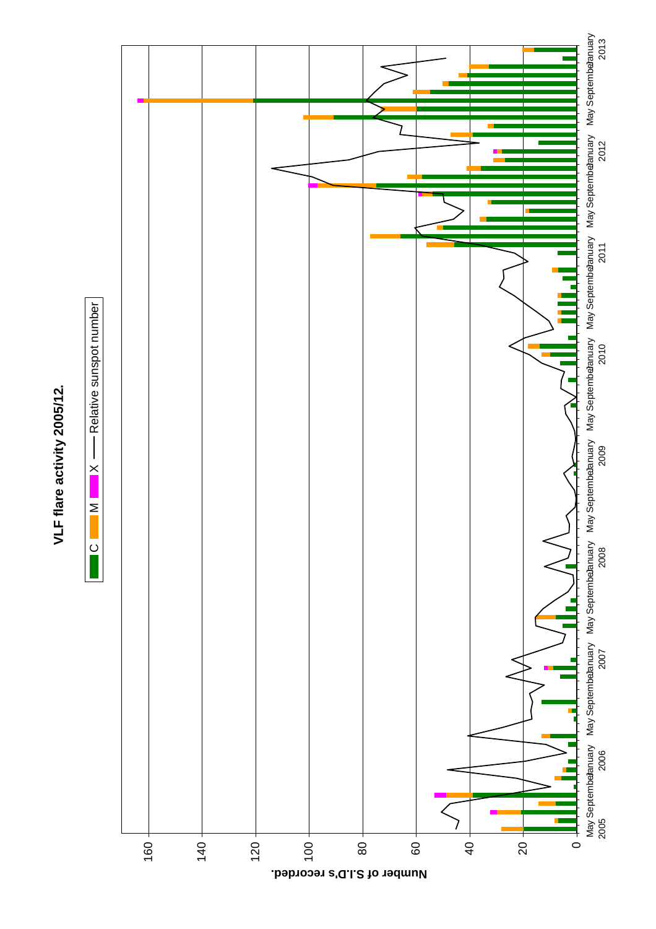

 $\overline{C}$ 

 $\mathsf{C} \qquad \blacksquare \mathsf{M} \qquad \blacksquare \mathsf{X} \longrightarrow \mathsf{Relative}$  sunspot number

 $\times$ 

 $\geq$ 

- Relative sunspot number



**Number of S.I.D's recorded.**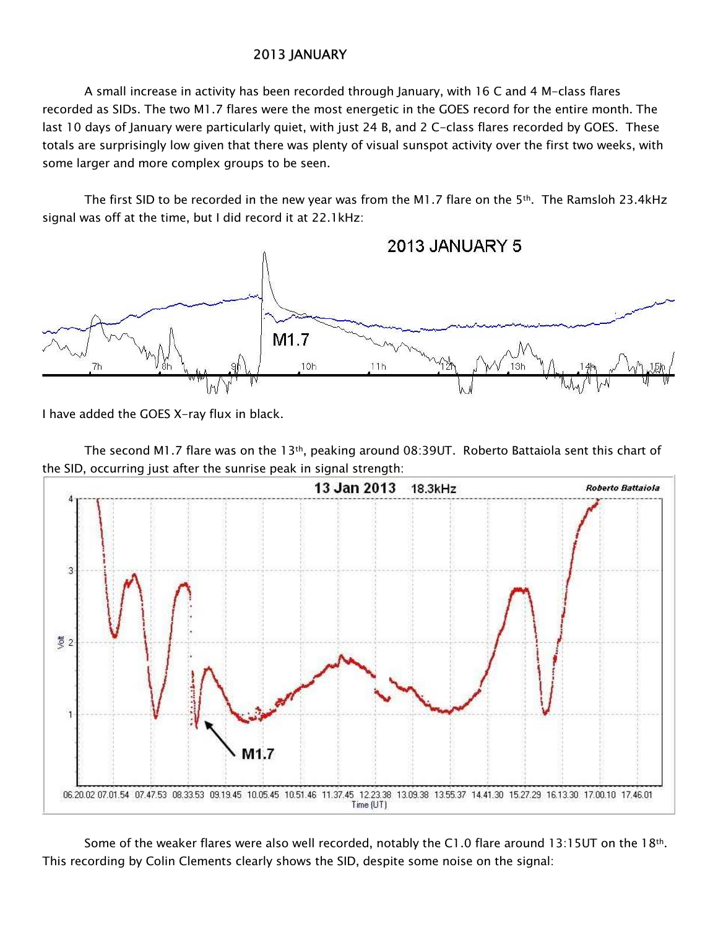## 2013 JANUARY

A small increase in activity has been recorded through January, with 16 C and 4 M-class flares recorded as SIDs. The two M1.7 flares were the most energetic in the GOES record for the entire month. The last 10 days of January were particularly quiet, with just 24 B, and 2 C-class flares recorded by GOES. These totals are surprisingly low given that there was plenty of visual sunspot activity over the first two weeks, with some larger and more complex groups to be seen.

The first SID to be recorded in the new year was from the M1.7 flare on the 5<sup>th</sup>. The Ramsloh 23.4kHz signal was off at the time, but I did record it at 22.1kHz:



I have added the GOES X-ray flux in black.

The second M1.7 flare was on the 13<sup>th</sup>, peaking around 08:39UT. Roberto Battaiola sent this chart of the SID, occurring just after the sunrise peak in signal strength:



Some of the weaker flares were also well recorded, notably the C1.0 flare around 13:15UT on the 18th. This recording by Colin Clements clearly shows the SID, despite some noise on the signal: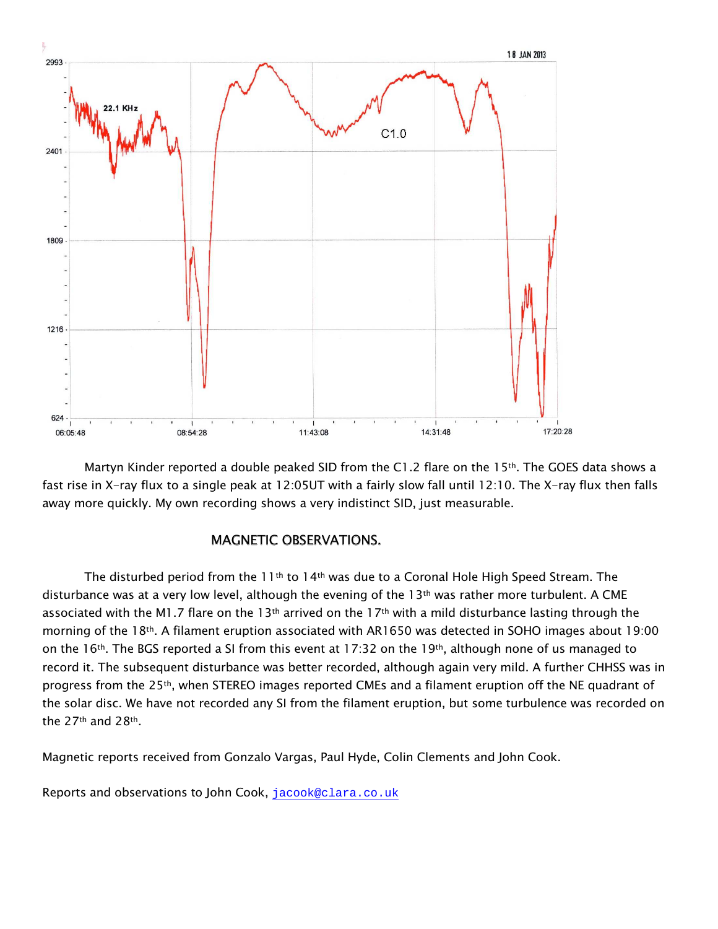

Martyn Kinder reported a double peaked SID from the C1.2 flare on the 15<sup>th</sup>. The GOES data shows a fast rise in X-ray flux to a single peak at 12:05UT with a fairly slow fall until 12:10. The X-ray flux then falls away more quickly. My own recording shows a very indistinct SID, just measurable.

## **MAGNETIC OBSERVATIONS.**

The disturbed period from the  $11<sup>th</sup>$  to  $14<sup>th</sup>$  was due to a Coronal Hole High Speed Stream. The disturbance was at a very low level, although the evening of the 13<sup>th</sup> was rather more turbulent. A CME associated with the M1.7 flare on the 13<sup>th</sup> arrived on the 17<sup>th</sup> with a mild disturbance lasting through the morning of the 18<sup>th</sup>. A filament eruption associated with AR1650 was detected in SOHO images about 19:00 on the 16<sup>th</sup>. The BGS reported a SI from this event at 17:32 on the 19<sup>th</sup>, although none of us managed to record it. The subsequent disturbance was better recorded, although again very mild. A further CHHSS was in progress from the 25<sup>th</sup>, when STEREO images reported CMEs and a filament eruption off the NE quadrant of the solar disc. We have not recorded any SI from the filament eruption, but some turbulence was recorded on the 27<sup>th</sup> and 28<sup>th</sup>.

Magnetic reports received from Gonzalo Vargas, Paul Hyde, Colin Clements and John Cook.

Reports and observations to John Cook, jacook@clara.co.uk